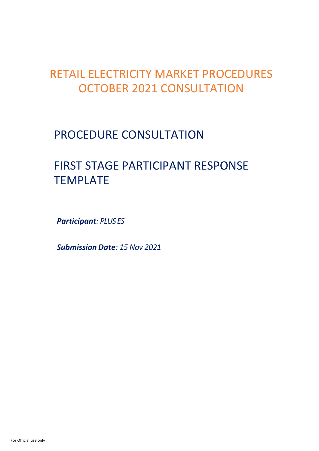## RETAIL ELECTRICITY MARKET PROCEDURES OCTOBER 2021 CONSULTATION

## PROCEDURE CONSULTATION

# FIRST STAGE PARTICIPANT RESPONSE TEMPLATE

*Participant: PLUS ES* 

*Submission Date: 15 Nov 2021*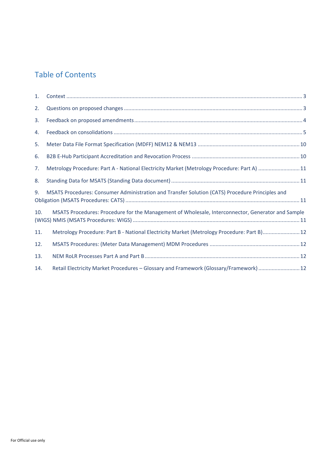### Table of Contents

| 1.  |                                                                                                   |  |
|-----|---------------------------------------------------------------------------------------------------|--|
| 2.  |                                                                                                   |  |
| 3.  |                                                                                                   |  |
| 4.  |                                                                                                   |  |
| 5.  |                                                                                                   |  |
| 6.  |                                                                                                   |  |
| 7.  | Metrology Procedure: Part A - National Electricity Market (Metrology Procedure: Part A) 11        |  |
| 8.  |                                                                                                   |  |
| 9.  | MSATS Procedures: Consumer Administration and Transfer Solution (CATS) Procedure Principles and   |  |
| 10. | MSATS Procedures: Procedure for the Management of Wholesale, Interconnector, Generator and Sample |  |
| 11. | Metrology Procedure: Part B - National Electricity Market (Metrology Procedure: Part B) 12        |  |
| 12. |                                                                                                   |  |
| 13. |                                                                                                   |  |
| 14. | Retail Electricity Market Procedures - Glossary and Framework (Glossary/Framework)  12            |  |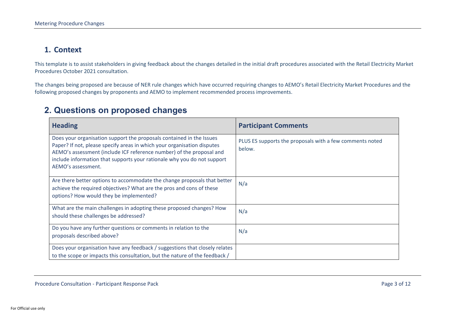#### **1. Context**

This template is to assist stakeholders in giving feedback about the changes detailed in the initial draft procedures associated with the Retail Electricity Market Procedures October 2021 consultation.

The changes being proposed are because of NER rule changes which have occurred requiring changes to AEMO's Retail Electricity Market Procedures and the following proposed changes by proponents and AEMO to implement recommended process improvements.

### **2. Questions on proposed changes**

<span id="page-2-1"></span><span id="page-2-0"></span>

| <b>Heading</b>                                                                                                                                                                                                                                                                                                           | <b>Participant Comments</b>                                        |
|--------------------------------------------------------------------------------------------------------------------------------------------------------------------------------------------------------------------------------------------------------------------------------------------------------------------------|--------------------------------------------------------------------|
| Does your organisation support the proposals contained in the Issues<br>Paper? If not, please specify areas in which your organisation disputes<br>AEMO's assessment (include ICF reference number) of the proposal and<br>include information that supports your rationale why you do not support<br>AEMO's assessment. | PLUS ES supports the proposals with a few comments noted<br>below. |
| Are there better options to accommodate the change proposals that better<br>achieve the required objectives? What are the pros and cons of these<br>options? How would they be implemented?                                                                                                                              | N/a                                                                |
| What are the main challenges in adopting these proposed changes? How<br>should these challenges be addressed?                                                                                                                                                                                                            | N/a                                                                |
| Do you have any further questions or comments in relation to the<br>proposals described above?                                                                                                                                                                                                                           | N/a                                                                |
| Does your organisation have any feedback / suggestions that closely relates<br>to the scope or impacts this consultation, but the nature of the feedback /                                                                                                                                                               |                                                                    |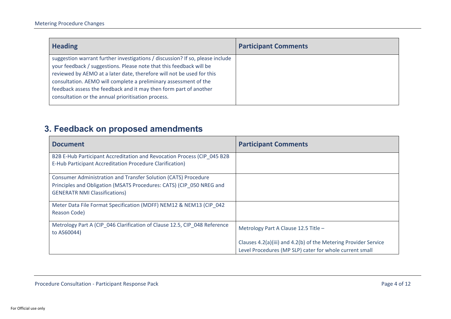| <b>Heading</b>                                                                                                                                                                                                                                                                                                                                                                                                               | <b>Participant Comments</b> |
|------------------------------------------------------------------------------------------------------------------------------------------------------------------------------------------------------------------------------------------------------------------------------------------------------------------------------------------------------------------------------------------------------------------------------|-----------------------------|
| suggestion warrant further investigations / discussion? If so, please include<br>your feedback / suggestions. Please note that this feedback will be<br>reviewed by AEMO at a later date, therefore will not be used for this<br>consultation. AEMO will complete a preliminary assessment of the<br>feedback assess the feedback and it may then form part of another<br>consultation or the annual prioritisation process. |                             |

### **3. Feedback on proposed amendments**

<span id="page-3-0"></span>

| <b>Document</b>                                                                                                                                                                | <b>Participant Comments</b>                                                                                                |
|--------------------------------------------------------------------------------------------------------------------------------------------------------------------------------|----------------------------------------------------------------------------------------------------------------------------|
| B2B E-Hub Participant Accreditation and Revocation Process (CIP_045 B2B<br>E-Hub Participant Accreditation Procedure Clarification)                                            |                                                                                                                            |
| Consumer Administration and Transfer Solution (CATS) Procedure<br>Principles and Obligation (MSATS Procedures: CATS) (CIP 050 NREG and<br><b>GENERATR NMI Classifications)</b> |                                                                                                                            |
| Meter Data File Format Specification (MDFF) NEM12 & NEM13 (CIP 042<br>Reason Code)                                                                                             |                                                                                                                            |
| Metrology Part A (CIP 046 Clarification of Clause 12.5, CIP 048 Reference<br>to AS60044)                                                                                       | Metrology Part A Clause 12.5 Title -                                                                                       |
|                                                                                                                                                                                | Clauses 4.2(a)(iii) and 4.2(b) of the Metering Provider Service<br>Level Procedures (MP SLP) cater for whole current small |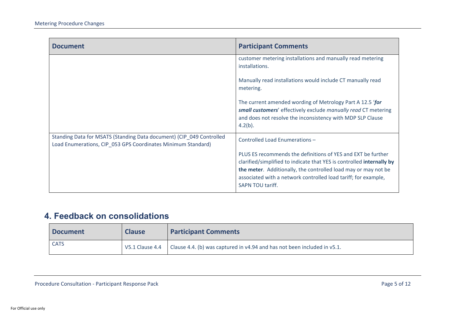| <b>Document</b>                                                                                                                      | <b>Participant Comments</b>                                                                                                                                                                                                                                                                          |
|--------------------------------------------------------------------------------------------------------------------------------------|------------------------------------------------------------------------------------------------------------------------------------------------------------------------------------------------------------------------------------------------------------------------------------------------------|
|                                                                                                                                      | customer metering installations and manually read metering<br>installations.                                                                                                                                                                                                                         |
|                                                                                                                                      | Manually read installations would include CT manually read<br>metering.                                                                                                                                                                                                                              |
|                                                                                                                                      | The current amended wording of Metrology Part A 12.5 'for<br>small customers' effectively exclude manually read CT metering<br>and does not resolve the inconsistency with MDP SLP Clause<br>$4.2(b)$ .                                                                                              |
| Standing Data for MSATS (Standing Data document) (CIP_049 Controlled<br>Load Enumerations, CIP_053 GPS Coordinates Minimum Standard) | Controlled Load Enumerations -                                                                                                                                                                                                                                                                       |
|                                                                                                                                      | PLUS ES recommends the definitions of YES and EXT be further<br>clarified/simplified to indicate that YES is controlled internally by<br>the meter. Additionally, the controlled load may or may not be<br>associated with a network controlled load tariff; for example,<br><b>SAPN TOU tariff.</b> |

### **4. Feedback on consolidations**

<span id="page-4-0"></span>

| <b>Document</b> | <b>Clause</b> | <b>Participant Comments</b>                                                                     |
|-----------------|---------------|-------------------------------------------------------------------------------------------------|
| <b>CATS</b>     |               | V5.1 Clause 4.4   Clause 4.4. (b) was captured in $v4.94$ and has not been included in $v5.1$ . |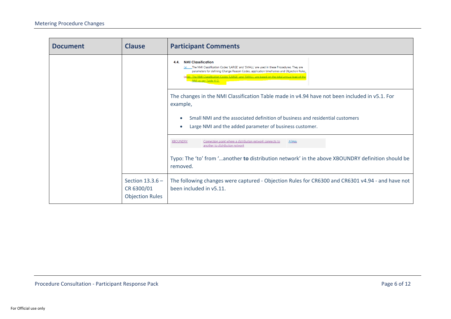| <b>Document</b> | <b>Clause</b>                                              | <b>Participant Comments</b>                                                                                                                                                                                                                                                                                                                            |
|-----------------|------------------------------------------------------------|--------------------------------------------------------------------------------------------------------------------------------------------------------------------------------------------------------------------------------------------------------------------------------------------------------------------------------------------------------|
|                 |                                                            | <b>NMI Classification</b><br>4.4.<br>The NMI Classification Codes 'LARGE' and 'SMALL' are used in these Procedures. They are<br>parameters for defining Change Reason Codes, application timeframes and Objection Rules,<br>(a)(b) The NMI Classification Codes 'LARGE' and 'SMALL' are based on the total annual load of the<br>NMI as per Table 4-D. |
|                 |                                                            | The changes in the NMI Classification Table made in v4.94 have not been included in v5.1. For<br>example,                                                                                                                                                                                                                                              |
|                 |                                                            | Small NMI and the associated definition of business and residential customers<br>Large NMI and the added parameter of business customer.                                                                                                                                                                                                               |
|                 |                                                            | <b>XBOUNDRY</b><br>Connection point where a distribution network connects to<br>AllALL<br>another to distribution network                                                                                                                                                                                                                              |
|                 |                                                            | Typo: The 'to' from 'another to distribution network' in the above XBOUNDRY definition should be<br>removed.                                                                                                                                                                                                                                           |
|                 | Section $13.3.6 -$<br>CR 6300/01<br><b>Objection Rules</b> | The following changes were captured - Objection Rules for CR6300 and CR6301 v4.94 - and have not<br>been included in v5.11.                                                                                                                                                                                                                            |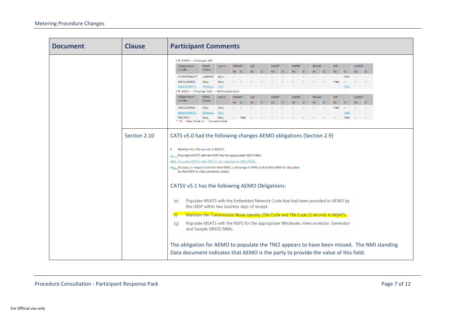| <b>Document</b> | <b>Clause</b> | <b>Participant Comments</b>                                                                                                                                                                                                                                                                                                                                                                                                                                                                                                                                                                                                                                                                                                                                                                                                                                                                                                                                                                                         |  |  |
|-----------------|---------------|---------------------------------------------------------------------------------------------------------------------------------------------------------------------------------------------------------------------------------------------------------------------------------------------------------------------------------------------------------------------------------------------------------------------------------------------------------------------------------------------------------------------------------------------------------------------------------------------------------------------------------------------------------------------------------------------------------------------------------------------------------------------------------------------------------------------------------------------------------------------------------------------------------------------------------------------------------------------------------------------------------------------|--|--|
|                 |               | CR 6300 - Change MC                                                                                                                                                                                                                                                                                                                                                                                                                                                                                                                                                                                                                                                                                                                                                                                                                                                                                                                                                                                                 |  |  |
|                 |               | <b>LR</b><br><b>MDP</b><br><b>MPB</b><br><b>LNSP</b><br>Objection<br><b>NMI</b><br>Jur'n<br><b>FRMP</b><br><b>RoLR</b><br>RP                                                                                                                                                                                                                                                                                                                                                                                                                                                                                                                                                                                                                                                                                                                                                                                                                                                                                        |  |  |
|                 |               | Code<br>Class<br>$\subset$<br>$\subset$<br>$\mathbb N$<br>$\subset$<br>$\mathbf N$<br>$\subset$<br>$\mathbb N$<br>$\mathbf{N}^-$<br>$\subset$<br>${\bf N}$<br>$N$ $C$<br>N<br>$\subset$                                                                                                                                                                                                                                                                                                                                                                                                                                                                                                                                                                                                                                                                                                                                                                                                                             |  |  |
|                 |               | <b>CONTRACT</b><br>LARGE<br><b>ALL</b>                                                                                                                                                                                                                                                                                                                                                                                                                                                                                                                                                                                                                                                                                                                                                                                                                                                                                                                                                                              |  |  |
|                 |               | <b>DECLINED</b><br>ALL.<br><b>ALL</b><br>Ves                                                                                                                                                                                                                                                                                                                                                                                                                                                                                                                                                                                                                                                                                                                                                                                                                                                                                                                                                                        |  |  |
|                 |               | <b>SMALL</b><br><b>VIC</b><br><b>BADPARTY</b><br>Yes                                                                                                                                                                                                                                                                                                                                                                                                                                                                                                                                                                                                                                                                                                                                                                                                                                                                                                                                                                |  |  |
|                 |               | CR 6301 - Change MC - Retrospective                                                                                                                                                                                                                                                                                                                                                                                                                                                                                                                                                                                                                                                                                                                                                                                                                                                                                                                                                                                 |  |  |
|                 |               | Objection<br><b>NMI</b><br><b>FRMP</b><br><b>LR</b><br><b>MDP</b><br><b>MPB</b><br><b>RoLR</b><br>RP<br><b>LNSP</b><br>Jur'n<br>Code<br>Class<br>$\overline{\phantom{a}}$<br>$\subset$                                                                                                                                                                                                                                                                                                                                                                                                                                                                                                                                                                                                                                                                                                                                                                                                                              |  |  |
|                 |               | $\subset$<br>$\mathbb N$<br>${\bf N}$<br>$\overline{\mathbb{N}}$<br>$\subset$<br>N<br>N.<br>$\sim$ C<br>$N - C$<br>$N$ $C$<br><b>DECLINED</b><br><b>ALL</b><br><b>ALL</b><br>Yes                                                                                                                                                                                                                                                                                                                                                                                                                                                                                                                                                                                                                                                                                                                                                                                                                                    |  |  |
|                 |               | <b>BADPARTY</b><br><b>SMALL</b><br><b>VIC</b><br>Yes                                                                                                                                                                                                                                                                                                                                                                                                                                                                                                                                                                                                                                                                                                                                                                                                                                                                                                                                                                |  |  |
|                 |               | Yes<br><b>RETRO</b><br><b>ALL</b><br><b>ALL</b><br>Yes                                                                                                                                                                                                                                                                                                                                                                                                                                                                                                                                                                                                                                                                                                                                                                                                                                                                                                                                                              |  |  |
|                 |               | ** N = New Role, C = Current Role                                                                                                                                                                                                                                                                                                                                                                                                                                                                                                                                                                                                                                                                                                                                                                                                                                                                                                                                                                                   |  |  |
|                 | Section 2.10  | CATS v5.0 had the following changes AEMO obligations (Section 2.9)<br>Maintain the TNI records in MSATS.<br>f).<br>Populate MSATS with the NSP2 for the appropriate WIGS NMIs.<br>a)(h) Populate MSATS with TNI2 for the appropriate WIGS NMIs.<br>h <sub>3</sub> (i) Provide, on request from the New ENM, a set/range of NMIs to that New ENM for allocation<br>by that ENM to child connection points.<br>CATSV v5.1 has the following AEMO Obligations:<br>Populate MSATS with the Embedded Network Code that had been provided to AEMO by<br>(e)<br>the LNSP within two business days of receipt.<br>Maintain the Transmission Node Identity (TNI Code and TNI Code 2) records in MSATS.<br>(f)<br>Populate MSATS with the NSP2 for the appropriate Wholesale, Interconnector, Generator<br>(q)<br>and Sample (WIGS) NMIs.<br>The obligation for AEMO to populate the TNI2 appears to have been missed. The NMI standing<br>Data document indicates that AEMO is the party to provide the value of this field. |  |  |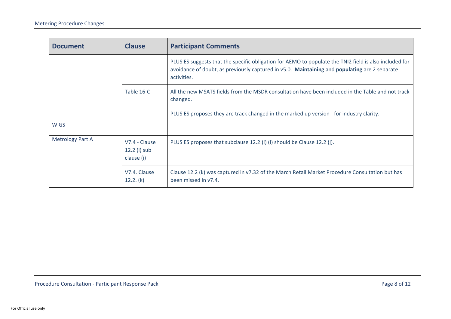| <b>Document</b>         | <b>Clause</b>                               | <b>Participant Comments</b>                                                                                                                                                                                            |
|-------------------------|---------------------------------------------|------------------------------------------------------------------------------------------------------------------------------------------------------------------------------------------------------------------------|
|                         |                                             | PLUS ES suggests that the specific obligation for AEMO to populate the TNI2 field is also included for<br>avoidance of doubt, as previously captured in v5.0. Maintaining and populating are 2 separate<br>activities. |
|                         | Table 16-C                                  | All the new MSATS fields from the MSDR consultation have been included in the Table and not track<br>changed.                                                                                                          |
|                         |                                             | PLUS ES proposes they are track changed in the marked up version - for industry clarity.                                                                                                                               |
| <b>WIGS</b>             |                                             |                                                                                                                                                                                                                        |
| <b>Metrology Part A</b> | V7.4 - Clause<br>12.2 (i) sub<br>clause (i) | PLUS ES proposes that subclause 12.2.(i) (i) should be Clause 12.2 (j).                                                                                                                                                |
|                         | V7.4. Clause<br>12.2. (k)                   | Clause 12.2 (k) was captured in v7.32 of the March Retail Market Procedure Consultation but has<br>been missed in v7.4.                                                                                                |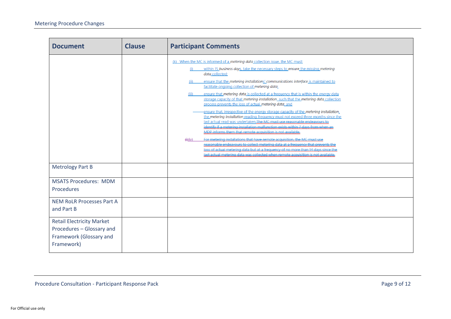| <b>Document</b>                                                                                        | <b>Clause</b> | <b>Participant Comments</b>                                                                                                                                                                                                                                                                                                                                                                                                                                                                                                                                                                                                                                                                                                                                                                                                                                                                                                                                                                                                                                                                                                                                                                                                                                                                                                                                                 |  |
|--------------------------------------------------------------------------------------------------------|---------------|-----------------------------------------------------------------------------------------------------------------------------------------------------------------------------------------------------------------------------------------------------------------------------------------------------------------------------------------------------------------------------------------------------------------------------------------------------------------------------------------------------------------------------------------------------------------------------------------------------------------------------------------------------------------------------------------------------------------------------------------------------------------------------------------------------------------------------------------------------------------------------------------------------------------------------------------------------------------------------------------------------------------------------------------------------------------------------------------------------------------------------------------------------------------------------------------------------------------------------------------------------------------------------------------------------------------------------------------------------------------------------|--|
|                                                                                                        |               | (k) When the MC is informed of a metering data collection issue, the MC must:<br>within 15 business days, take the necessary steps to ensure the missing metering<br>(i)<br>data collected;<br>ensure that the metering installations' communications interface is maintained to<br>(ii)<br>facilitate ongoing collection of metering data;<br>ensure that metering data is collected at a frequency that is within the energy data<br>(iii)<br>storage capacity of that metering installation_such that the metering data collection<br>process prevents the loss of actual metering data; and<br>ensure that, irrespective of the energy storage capacity of the metering installation.<br>the metering installation reading frequency must not exceed three months since the<br>last actual read was undertaken. The MC must use reasonable endeavours to<br>identify if a metering installation malfunction exists within 7 days from when an<br>MDP informs them that remote acquisition is not available.<br>For metering installations that have remote acquisition, the MC must use<br>$\bigoplus$ (iv)<br>reasonable endeavours to collect metering data at a frequency that prevents the<br>locs of actual metering data but at a frequency of no more than 14 days since the<br>last actual metering data was collected when remote acquisition is not available |  |
| <b>Metrology Part B</b>                                                                                |               |                                                                                                                                                                                                                                                                                                                                                                                                                                                                                                                                                                                                                                                                                                                                                                                                                                                                                                                                                                                                                                                                                                                                                                                                                                                                                                                                                                             |  |
| <b>MSATS Procedures: MDM</b><br>Procedures                                                             |               |                                                                                                                                                                                                                                                                                                                                                                                                                                                                                                                                                                                                                                                                                                                                                                                                                                                                                                                                                                                                                                                                                                                                                                                                                                                                                                                                                                             |  |
| <b>NEM RoLR Processes Part A</b><br>and Part B                                                         |               |                                                                                                                                                                                                                                                                                                                                                                                                                                                                                                                                                                                                                                                                                                                                                                                                                                                                                                                                                                                                                                                                                                                                                                                                                                                                                                                                                                             |  |
| <b>Retail Electricity Market</b><br>Procedures - Glossary and<br>Framework (Glossary and<br>Framework) |               |                                                                                                                                                                                                                                                                                                                                                                                                                                                                                                                                                                                                                                                                                                                                                                                                                                                                                                                                                                                                                                                                                                                                                                                                                                                                                                                                                                             |  |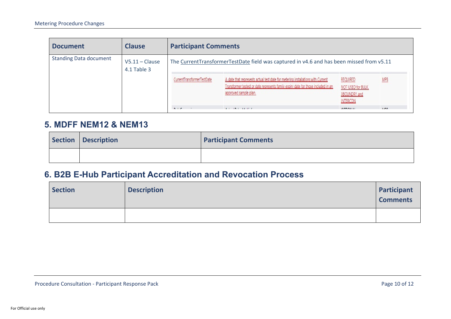| <b>Document</b>               | <b>Clause</b>                     | <b>Participant Comments</b> |                                                                                                                                                                                               |                                                                                 |              |
|-------------------------------|-----------------------------------|-----------------------------|-----------------------------------------------------------------------------------------------------------------------------------------------------------------------------------------------|---------------------------------------------------------------------------------|--------------|
| <b>Standing Data document</b> | $V5.11 - Claude$<br>$4.1$ Table 3 |                             | The CurrentTransformerTestDate field was captured in v4.6 and has been missed from v5.11                                                                                                      |                                                                                 |              |
|                               |                                   | CurrentTransformerTestDate  | A date that represents actual test date for metering installations with Current<br>Transformer tested or date represents family expiry date for those included in an<br>approved sample plan. | <b>REQUIRED</b><br>NOT USED for BULK,<br><b>XBOUNDRY</b> and<br><b>INTERCON</b> | <b>MPB</b>   |
|                               |                                   | <b>But in</b>               | $1.1.171$ $1.1.111$                                                                                                                                                                           | <b>COTICALLY</b>                                                                | <b>LIBRO</b> |

### **5. MDFF NEM12 & NEM13**

| Section   Description | <b>Participant Comments</b> |
|-----------------------|-----------------------------|
|                       |                             |

### **6. B2B E-Hub Participant Accreditation and Revocation Process**

<span id="page-9-1"></span><span id="page-9-0"></span>

| <b>Section</b> | <b>Description</b> | Participant<br><b>Comments</b> |
|----------------|--------------------|--------------------------------|
|                |                    |                                |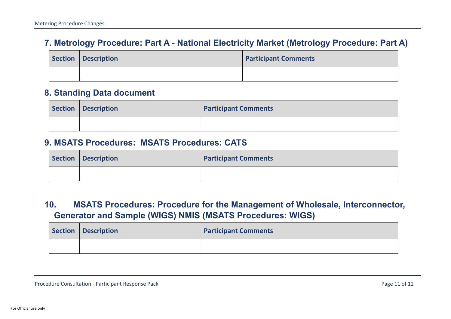### **7. Metrology Procedure: Part A - National Electricity Market (Metrology Procedure: Part A)**

| Section Description | <b>Participant Comments</b> |
|---------------------|-----------------------------|
|                     |                             |

### **8. Standing Data document**

| Section Description | <b>Participant Comments</b> |
|---------------------|-----------------------------|
|                     |                             |

#### **9. MSATS Procedures: MSATS Procedures: CATS**

<span id="page-10-0"></span>

| Section   Description | <b>Participant Comments</b> |
|-----------------------|-----------------------------|
|                       |                             |

### <span id="page-10-1"></span>**10. MSATS Procedures: Procedure for the Management of Wholesale, Interconnector, Generator and Sample (WIGS) NMIS (MSATS Procedures: WIGS)**

<span id="page-10-3"></span><span id="page-10-2"></span>

| Section Description | <b>Participant Comments</b> |
|---------------------|-----------------------------|
|                     |                             |